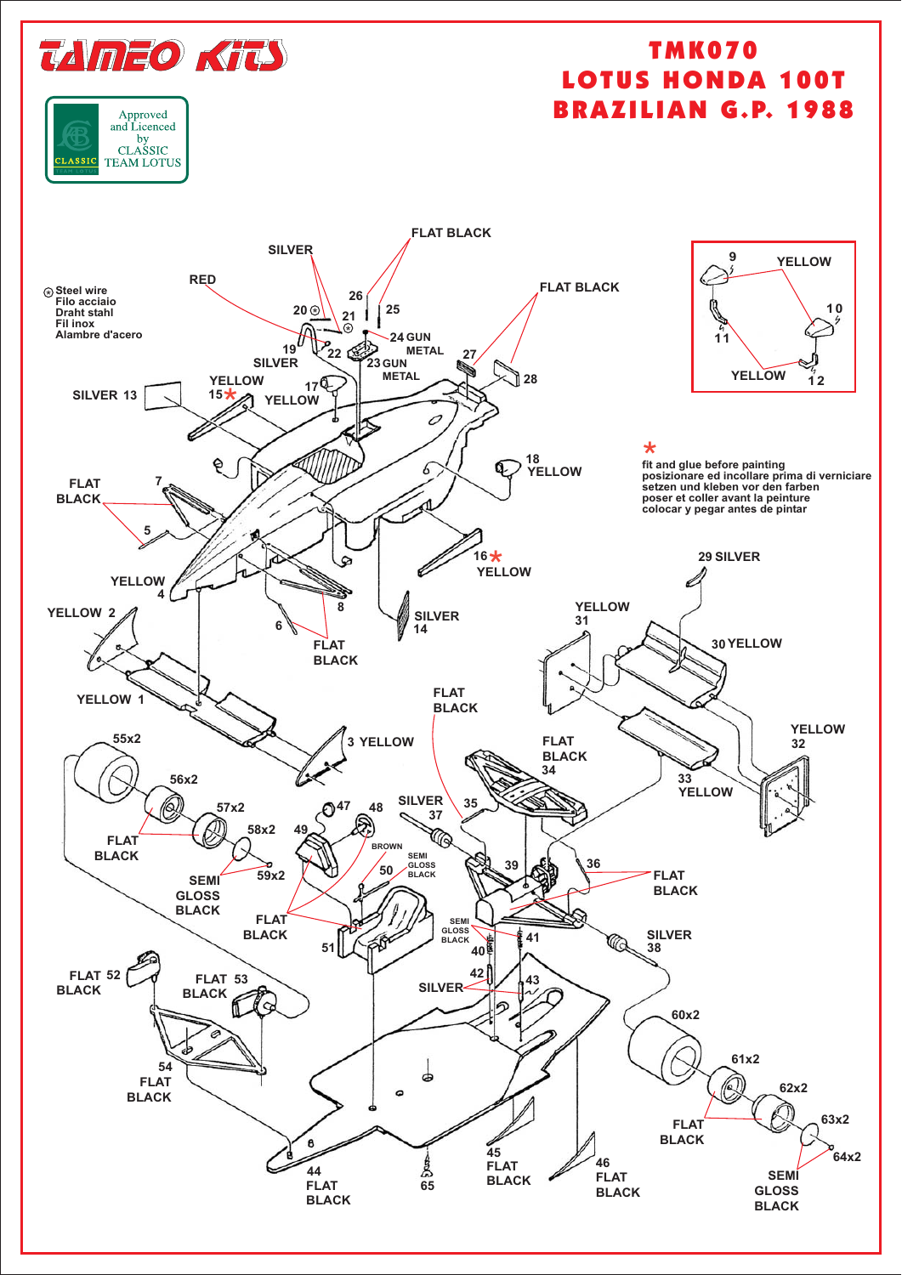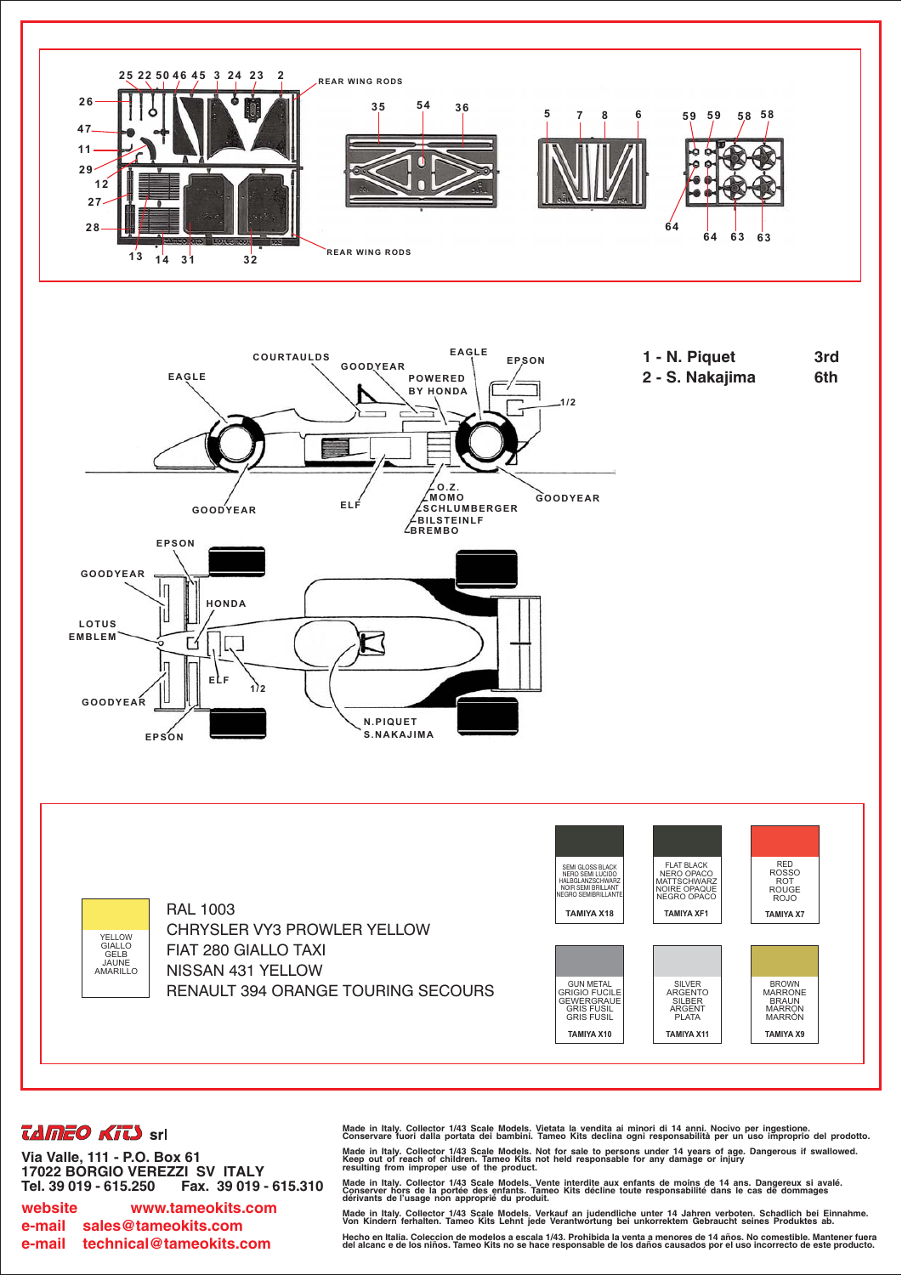





**RAL 1003 CHRYSLER VY3 PROWLER YELLOW** FIAT 280 GIALLO TAXI NISSAN 431 YELLOW **RENAULT 394 ORANGE TOURING SECOURS** 



## *<u>LAMEO</u>* **KILS** srl

Via Valle, 111 - P.O. Box 61 17022 BÓRGIO VEREZZI SV ITALY Tel. 39 019 - 615.250 Fax. 39 019 - 615.310

website www.tameokits.com e-mail sales@tameokits.com technical@tameokits.com e-mail

Made in Italy. Collector 1/43 Scale Models. Vietata la vendita ai minori di 14 anni. Nocivo per ingestione.<br>Conservare fuori dalla portata dei bambini. Tameo Kits declina ogni responsabilità per un uso improprio del prodot Made in Italy. Collector 1/43 Scale Models. Not for sale to persons under 14 years of age. Dangerous if swallowed.<br>Keep out of reach of children. Tameo Kits not held responsable for any damage or injury<br>resulting from impr

Made in Italy. Collector 1/43 Scale Models. Vente interdite aux enfants de moins de 14 ans. Dangereux si avalé<br>Conserver hors de la portée des enfants. Tameo Kits décline toute responsabilité dans le cas de dommages<br>dériva

Made in Italy. Collector 1/43 Scale Models. Verkauf an judendliche unter 14 Jahren verboten. Schadlich bei Einnahme.<br>Von Kindern ferhalten. Tameo Kits Lehnt jede Verantwortung bei unkorrektem Gebraucht seines Produktes ab. Hecho en Italia. Coleccion de modelos a escala 1/43. Prohibida la venta a menores de 14 años. No comestible. Mantener fuera<br>del alcanc e de los niños. Tameo Kits no se hace responsable de los daños causados por el uso inco